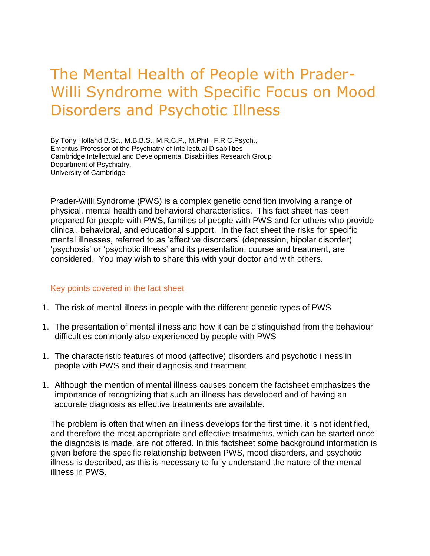# The Mental Health of People with Prader-Willi Syndrome with Specific Focus on Mood Disorders and Psychotic Illness

By Tony Holland B.Sc., M.B.B.S., M.R.C.P., M.Phil., F.R.C.Psych., Emeritus Professor of the Psychiatry of Intellectual Disabilities Cambridge Intellectual and Developmental Disabilities Research Group Department of Psychiatry, University of Cambridge

Prader-Willi Syndrome (PWS) is a complex genetic condition involving a range of physical, mental health and behavioral characteristics. This fact sheet has been prepared for people with PWS, families of people with PWS and for others who provide clinical, behavioral, and educational support. In the fact sheet the risks for specific mental illnesses, referred to as 'affective disorders' (depression, bipolar disorder) 'psychosis' or 'psychotic illness' and its presentation, course and treatment, are considered. You may wish to share this with your doctor and with others.

#### Key points covered in the fact sheet

- 1. The risk of mental illness in people with the different genetic types of PWS
- 1. The presentation of mental illness and how it can be distinguished from the behaviour difficulties commonly also experienced by people with PWS
- 1. The characteristic features of mood (affective) disorders and psychotic illness in people with PWS and their diagnosis and treatment
- 1. Although the mention of mental illness causes concern the factsheet emphasizes the importance of recognizing that such an illness has developed and of having an accurate diagnosis as effective treatments are available.

The problem is often that when an illness develops for the first time, it is not identified, and therefore the most appropriate and effective treatments, which can be started once the diagnosis is made, are not offered. In this factsheet some background information is given before the specific relationship between PWS, mood disorders, and psychotic illness is described, as this is necessary to fully understand the nature of the mental illness in PWS.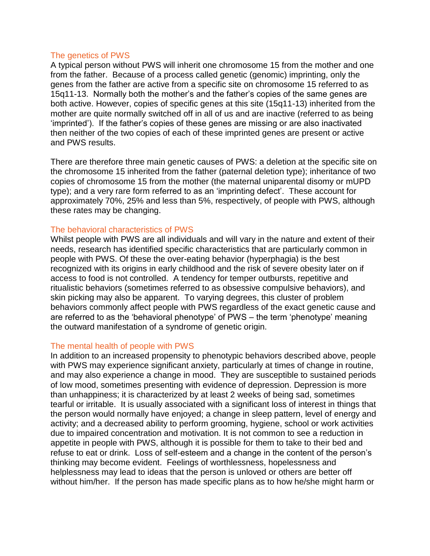#### The genetics of PWS

A typical person without PWS will inherit one chromosome 15 from the mother and one from the father. Because of a process called genetic (genomic) imprinting, only the genes from the father are active from a specific site on chromosome 15 referred to as 15q11-13. Normally both the mother's and the father's copies of the same genes are both active. However, copies of specific genes at this site (15q11-13) inherited from the mother are quite normally switched off in all of us and are inactive (referred to as being 'imprinted'). If the father's copies of these genes are missing or are also inactivated then neither of the two copies of each of these imprinted genes are present or active and PWS results.

There are therefore three main genetic causes of PWS: a deletion at the specific site on the chromosome 15 inherited from the father (paternal deletion type); inheritance of two copies of chromosome 15 from the mother (the maternal uniparental disomy or mUPD type); and a very rare form referred to as an 'imprinting defect'. These account for approximately 70%, 25% and less than 5%, respectively, of people with PWS, although these rates may be changing.

## The behavioral characteristics of PWS

Whilst people with PWS are all individuals and will vary in the nature and extent of their needs, research has identified specific characteristics that are particularly common in people with PWS. Of these the over-eating behavior (hyperphagia) is the best recognized with its origins in early childhood and the risk of severe obesity later on if access to food is not controlled. A tendency for temper outbursts, repetitive and ritualistic behaviors (sometimes referred to as obsessive compulsive behaviors), and skin picking may also be apparent. To varying degrees, this cluster of problem behaviors commonly affect people with PWS regardless of the exact genetic cause and are referred to as the 'behavioral phenotype' of PWS – the term 'phenotype' meaning the outward manifestation of a syndrome of genetic origin.

#### The mental health of people with PWS

In addition to an increased propensity to phenotypic behaviors described above, people with PWS may experience significant anxiety, particularly at times of change in routine, and may also experience a change in mood. They are susceptible to sustained periods of low mood, sometimes presenting with evidence of depression. Depression is more than unhappiness; it is characterized by at least 2 weeks of being sad, sometimes tearful or irritable. It is usually associated with a significant loss of interest in things that the person would normally have enjoyed; a change in sleep pattern, level of energy and activity; and a decreased ability to perform grooming, hygiene, school or work activities due to impaired concentration and motivation. It is not common to see a reduction in appetite in people with PWS, although it is possible for them to take to their bed and refuse to eat or drink. Loss of self-esteem and a change in the content of the person's thinking may become evident. Feelings of worthlessness, hopelessness and helplessness may lead to ideas that the person is unloved or others are better off without him/her. If the person has made specific plans as to how he/she might harm or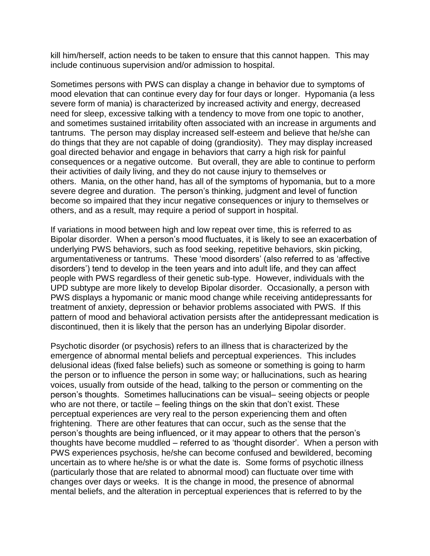kill him/herself, action needs to be taken to ensure that this cannot happen. This may include continuous supervision and/or admission to hospital.

Sometimes persons with PWS can display a change in behavior due to symptoms of mood elevation that can continue every day for four days or longer. Hypomania (a less severe form of mania) is characterized by increased activity and energy, decreased need for sleep, excessive talking with a tendency to move from one topic to another, and sometimes sustained irritability often associated with an increase in arguments and tantrums. The person may display increased self-esteem and believe that he/she can do things that they are not capable of doing (grandiosity). They may display increased goal directed behavior and engage in behaviors that carry a high risk for painful consequences or a negative outcome. But overall, they are able to continue to perform their activities of daily living, and they do not cause injury to themselves or others. Mania, on the other hand, has all of the symptoms of hypomania, but to a more severe degree and duration. The person's thinking, judgment and level of function become so impaired that they incur negative consequences or injury to themselves or others, and as a result, may require a period of support in hospital.

If variations in mood between high and low repeat over time, this is referred to as Bipolar disorder. When a person's mood fluctuates, it is likely to see an exacerbation of underlying PWS behaviors, such as food seeking, repetitive behaviors, skin picking, argumentativeness or tantrums. These 'mood disorders' (also referred to as 'affective disorders') tend to develop in the teen years and into adult life, and they can affect people with PWS regardless of their genetic sub-type. However, individuals with the UPD subtype are more likely to develop Bipolar disorder. Occasionally, a person with PWS displays a hypomanic or manic mood change while receiving antidepressants for treatment of anxiety, depression or behavior problems associated with PWS. If this pattern of mood and behavioral activation persists after the antidepressant medication is discontinued, then it is likely that the person has an underlying Bipolar disorder.

Psychotic disorder (or psychosis) refers to an illness that is characterized by the emergence of abnormal mental beliefs and perceptual experiences. This includes delusional ideas (fixed false beliefs) such as someone or something is going to harm the person or to influence the person in some way; or hallucinations, such as hearing voices, usually from outside of the head, talking to the person or commenting on the person's thoughts. Sometimes hallucinations can be visual– seeing objects or people who are not there, or tactile – feeling things on the skin that don't exist. These perceptual experiences are very real to the person experiencing them and often frightening. There are other features that can occur, such as the sense that the person's thoughts are being influenced, or it may appear to others that the person's thoughts have become muddled – referred to as 'thought disorder'. When a person with PWS experiences psychosis, he/she can become confused and bewildered, becoming uncertain as to where he/she is or what the date is. Some forms of psychotic illness (particularly those that are related to abnormal mood) can fluctuate over time with changes over days or weeks. It is the change in mood, the presence of abnormal mental beliefs, and the alteration in perceptual experiences that is referred to by the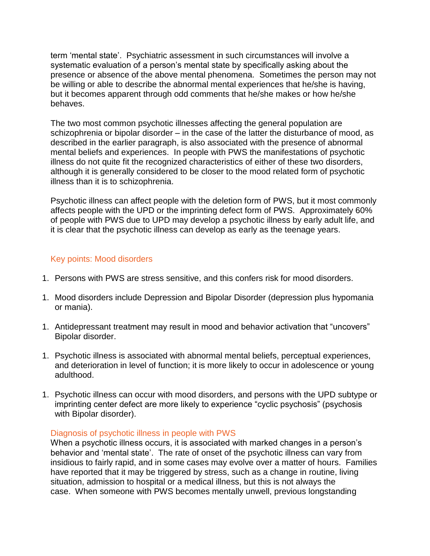term 'mental state'. Psychiatric assessment in such circumstances will involve a systematic evaluation of a person's mental state by specifically asking about the presence or absence of the above mental phenomena. Sometimes the person may not be willing or able to describe the abnormal mental experiences that he/she is having, but it becomes apparent through odd comments that he/she makes or how he/she behaves.

The two most common psychotic illnesses affecting the general population are schizophrenia or bipolar disorder – in the case of the latter the disturbance of mood, as described in the earlier paragraph, is also associated with the presence of abnormal mental beliefs and experiences. In people with PWS the manifestations of psychotic illness do not quite fit the recognized characteristics of either of these two disorders, although it is generally considered to be closer to the mood related form of psychotic illness than it is to schizophrenia.

Psychotic illness can affect people with the deletion form of PWS, but it most commonly affects people with the UPD or the imprinting defect form of PWS. Approximately 60% of people with PWS due to UPD may develop a psychotic illness by early adult life, and it is clear that the psychotic illness can develop as early as the teenage years.

## Key points: Mood disorders

- 1. Persons with PWS are stress sensitive, and this confers risk for mood disorders.
- 1. Mood disorders include Depression and Bipolar Disorder (depression plus hypomania or mania).
- 1. Antidepressant treatment may result in mood and behavior activation that "uncovers" Bipolar disorder.
- 1. Psychotic illness is associated with abnormal mental beliefs, perceptual experiences, and deterioration in level of function; it is more likely to occur in adolescence or young adulthood.
- 1. Psychotic illness can occur with mood disorders, and persons with the UPD subtype or imprinting center defect are more likely to experience "cyclic psychosis" (psychosis with Bipolar disorder).

## Diagnosis of psychotic illness in people with PWS

When a psychotic illness occurs, it is associated with marked changes in a person's behavior and 'mental state'. The rate of onset of the psychotic illness can vary from insidious to fairly rapid, and in some cases may evolve over a matter of hours. Families have reported that it may be triggered by stress, such as a change in routine, living situation, admission to hospital or a medical illness, but this is not always the case. When someone with PWS becomes mentally unwell, previous longstanding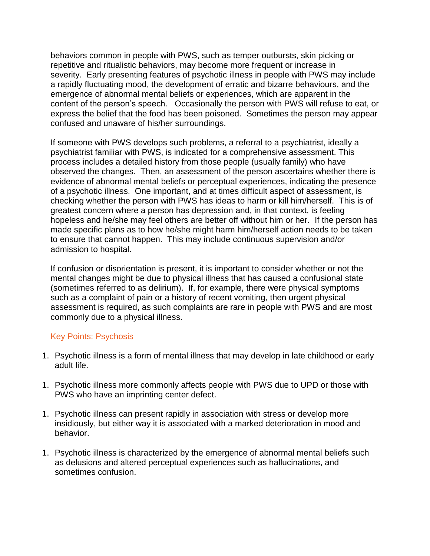behaviors common in people with PWS, such as temper outbursts, skin picking or repetitive and ritualistic behaviors, may become more frequent or increase in severity. Early presenting features of psychotic illness in people with PWS may include a rapidly fluctuating mood, the development of erratic and bizarre behaviours, and the emergence of abnormal mental beliefs or experiences, which are apparent in the content of the person's speech. Occasionally the person with PWS will refuse to eat, or express the belief that the food has been poisoned. Sometimes the person may appear confused and unaware of his/her surroundings.

If someone with PWS develops such problems, a referral to a psychiatrist, ideally a psychiatrist familiar with PWS, is indicated for a comprehensive assessment. This process includes a detailed history from those people (usually family) who have observed the changes. Then, an assessment of the person ascertains whether there is evidence of abnormal mental beliefs or perceptual experiences, indicating the presence of a psychotic illness. One important, and at times difficult aspect of assessment, is checking whether the person with PWS has ideas to harm or kill him/herself. This is of greatest concern where a person has depression and, in that context, is feeling hopeless and he/she may feel others are better off without him or her. If the person has made specific plans as to how he/she might harm him/herself action needs to be taken to ensure that cannot happen. This may include continuous supervision and/or admission to hospital.

If confusion or disorientation is present, it is important to consider whether or not the mental changes might be due to physical illness that has caused a confusional state (sometimes referred to as delirium). If, for example, there were physical symptoms such as a complaint of pain or a history of recent vomiting, then urgent physical assessment is required, as such complaints are rare in people with PWS and are most commonly due to a physical illness.

## Key Points: Psychosis

- 1. Psychotic illness is a form of mental illness that may develop in late childhood or early adult life.
- 1. Psychotic illness more commonly affects people with PWS due to UPD or those with PWS who have an imprinting center defect.
- 1. Psychotic illness can present rapidly in association with stress or develop more insidiously, but either way it is associated with a marked deterioration in mood and behavior.
- 1. Psychotic illness is characterized by the emergence of abnormal mental beliefs such as delusions and altered perceptual experiences such as hallucinations, and sometimes confusion.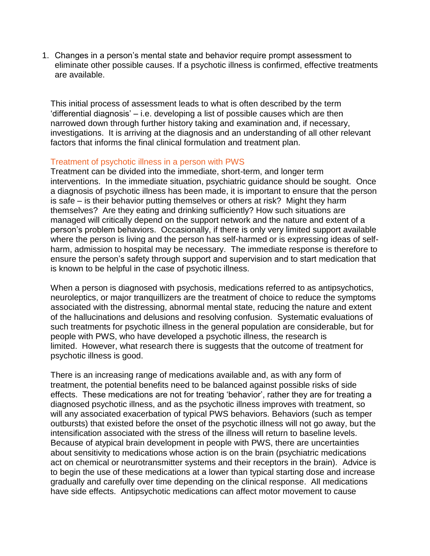1. Changes in a person's mental state and behavior require prompt assessment to eliminate other possible causes. If a psychotic illness is confirmed, effective treatments are available.

This initial process of assessment leads to what is often described by the term 'differential diagnosis' – i.e. developing a list of possible causes which are then narrowed down through further history taking and examination and, if necessary, investigations. It is arriving at the diagnosis and an understanding of all other relevant factors that informs the final clinical formulation and treatment plan.

#### Treatment of psychotic illness in a person with PWS

Treatment can be divided into the immediate, short-term, and longer term interventions. In the immediate situation, psychiatric guidance should be sought. Once a diagnosis of psychotic illness has been made, it is important to ensure that the person is safe – is their behavior putting themselves or others at risk? Might they harm themselves? Are they eating and drinking sufficiently? How such situations are managed will critically depend on the support network and the nature and extent of a person's problem behaviors. Occasionally, if there is only very limited support available where the person is living and the person has self-harmed or is expressing ideas of selfharm, admission to hospital may be necessary. The immediate response is therefore to ensure the person's safety through support and supervision and to start medication that is known to be helpful in the case of psychotic illness.

When a person is diagnosed with psychosis, medications referred to as antipsychotics, neuroleptics, or major tranquillizers are the treatment of choice to reduce the symptoms associated with the distressing, abnormal mental state, reducing the nature and extent of the hallucinations and delusions and resolving confusion. Systematic evaluations of such treatments for psychotic illness in the general population are considerable, but for people with PWS, who have developed a psychotic illness, the research is limited. However, what research there is suggests that the outcome of treatment for psychotic illness is good.

There is an increasing range of medications available and, as with any form of treatment, the potential benefits need to be balanced against possible risks of side effects. These medications are not for treating 'behavior', rather they are for treating a diagnosed psychotic illness, and as the psychotic illness improves with treatment, so will any associated exacerbation of typical PWS behaviors. Behaviors (such as temper outbursts) that existed before the onset of the psychotic illness will not go away, but the intensification associated with the stress of the illness will return to baseline levels. Because of atypical brain development in people with PWS, there are uncertainties about sensitivity to medications whose action is on the brain (psychiatric medications act on chemical or neurotransmitter systems and their receptors in the brain). Advice is to begin the use of these medications at a lower than typical starting dose and increase gradually and carefully over time depending on the clinical response. All medications have side effects. Antipsychotic medications can affect motor movement to cause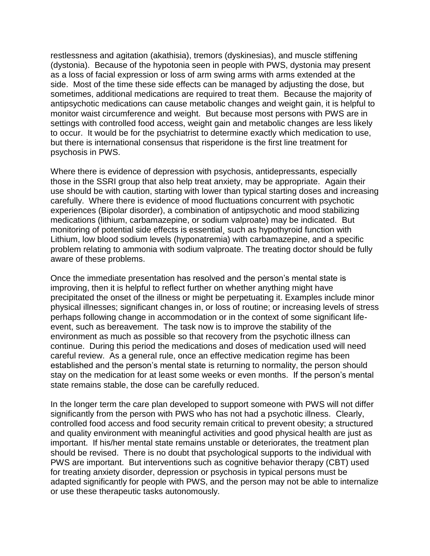restlessness and agitation (akathisia), tremors (dyskinesias), and muscle stiffening (dystonia). Because of the hypotonia seen in people with PWS, dystonia may present as a loss of facial expression or loss of arm swing arms with arms extended at the side. Most of the time these side effects can be managed by adjusting the dose, but sometimes, additional medications are required to treat them. Because the majority of antipsychotic medications can cause metabolic changes and weight gain, it is helpful to monitor waist circumference and weight. But because most persons with PWS are in settings with controlled food access, weight gain and metabolic changes are less likely to occur. It would be for the psychiatrist to determine exactly which medication to use, but there is international consensus that risperidone is the first line treatment for psychosis in PWS.

Where there is evidence of depression with psychosis, antidepressants, especially those in the SSRI group that also help treat anxiety, may be appropriate. Again their use should be with caution, starting with lower than typical starting doses and increasing carefully. Where there is evidence of mood fluctuations concurrent with psychotic experiences (Bipolar disorder), a combination of antipsychotic and mood stabilizing medications (lithium, carbamazepine, or sodium valproate) may be indicated. But monitoring of potential side effects is essential¸ such as hypothyroid function with Lithium, low blood sodium levels (hyponatremia) with carbamazepine, and a specific problem relating to ammonia with sodium valproate. The treating doctor should be fully aware of these problems.

Once the immediate presentation has resolved and the person's mental state is improving, then it is helpful to reflect further on whether anything might have precipitated the onset of the illness or might be perpetuating it. Examples include minor physical illnesses; significant changes in, or loss of routine; or increasing levels of stress perhaps following change in accommodation or in the context of some significant lifeevent, such as bereavement. The task now is to improve the stability of the environment as much as possible so that recovery from the psychotic illness can continue. During this period the medications and doses of medication used will need careful review. As a general rule, once an effective medication regime has been established and the person's mental state is returning to normality, the person should stay on the medication for at least some weeks or even months. If the person's mental state remains stable, the dose can be carefully reduced.

In the longer term the care plan developed to support someone with PWS will not differ significantly from the person with PWS who has not had a psychotic illness. Clearly, controlled food access and food security remain critical to prevent obesity; a structured and quality environment with meaningful activities and good physical health are just as important. If his/her mental state remains unstable or deteriorates, the treatment plan should be revised. There is no doubt that psychological supports to the individual with PWS are important. But interventions such as cognitive behavior therapy (CBT) used for treating anxiety disorder, depression or psychosis in typical persons must be adapted significantly for people with PWS, and the person may not be able to internalize or use these therapeutic tasks autonomously.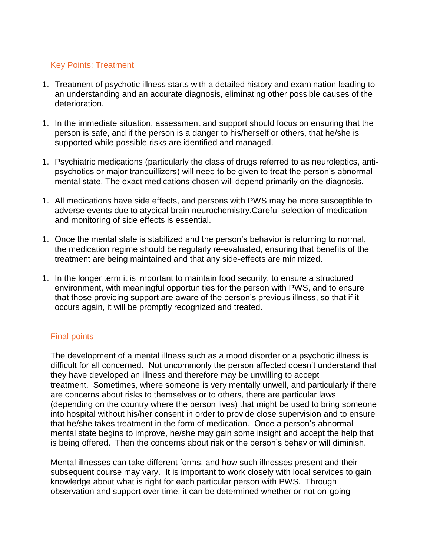# Key Points: Treatment

- 1. Treatment of psychotic illness starts with a detailed history and examination leading to an understanding and an accurate diagnosis, eliminating other possible causes of the deterioration.
- 1. In the immediate situation, assessment and support should focus on ensuring that the person is safe, and if the person is a danger to his/herself or others, that he/she is supported while possible risks are identified and managed.
- 1. Psychiatric medications (particularly the class of drugs referred to as neuroleptics, antipsychotics or major tranquillizers) will need to be given to treat the person's abnormal mental state. The exact medications chosen will depend primarily on the diagnosis.
- 1. All medications have side effects, and persons with PWS may be more susceptible to adverse events due to atypical brain neurochemistry.Careful selection of medication and monitoring of side effects is essential.
- 1. Once the mental state is stabilized and the person's behavior is returning to normal, the medication regime should be regularly re-evaluated, ensuring that benefits of the treatment are being maintained and that any side-effects are minimized.
- 1. In the longer term it is important to maintain food security, to ensure a structured environment, with meaningful opportunities for the person with PWS, and to ensure that those providing support are aware of the person's previous illness, so that if it occurs again, it will be promptly recognized and treated.

# Final points

The development of a mental illness such as a mood disorder or a psychotic illness is difficult for all concerned. Not uncommonly the person affected doesn't understand that they have developed an illness and therefore may be unwilling to accept treatment. Sometimes, where someone is very mentally unwell, and particularly if there are concerns about risks to themselves or to others, there are particular laws (depending on the country where the person lives) that might be used to bring someone into hospital without his/her consent in order to provide close supervision and to ensure that he/she takes treatment in the form of medication. Once a person's abnormal mental state begins to improve, he/she may gain some insight and accept the help that is being offered. Then the concerns about risk or the person's behavior will diminish.

Mental illnesses can take different forms, and how such illnesses present and their subsequent course may vary. It is important to work closely with local services to gain knowledge about what is right for each particular person with PWS. Through observation and support over time, it can be determined whether or not on-going